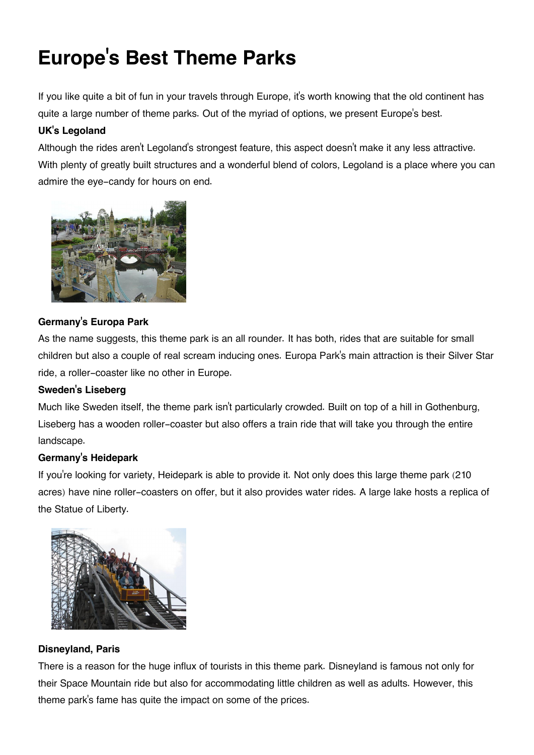# **Europe's Best Theme Parks**

If you like quite a bit of fun in your travels through Europe, it's worth knowing that the old continent has quite a large number of theme parks. Out of the myriad of options, we present Europe's best.

# **UK's Legoland**

Although the rides aren't Legoland's strongest feature, this aspect doesn't make it any less attractive. With plenty of greatly built structures and a wonderful blend of colors, Legoland is a place where you can admire the eye-candy for hours on end.



# **Germany's Europa Park**

As the name suggests, this theme park is an all rounder. It has both, rides that are suitable for small children but also a couple of real scream inducing ones. Europa Park's main attraction is their Silver Star ride, a roller-coaster like no other in Europe.

# **Sweden's Liseberg**

Much like Sweden itself, the theme park isn't particularly crowded. Built on top of a hill in Gothenburg, Liseberg has a wooden roller-coaster but also offers a train ride that will take you through the entire landscape.

# **Germany's Heidepark**

If you're looking for variety, Heidepark is able to provide it. Not only does this large theme park (210 acres) have nine roller-coasters on offer, but it also provides water rides. A large lake hosts a replica of the Statue of Liberty.



# **Disneyland, Paris**

There is a reason for the huge influx of tourists in this theme park. Disneyland is famous not only for their Space Mountain ride but also for accommodating little children as well as adults. However, this theme park's fame has quite the impact on some of the prices.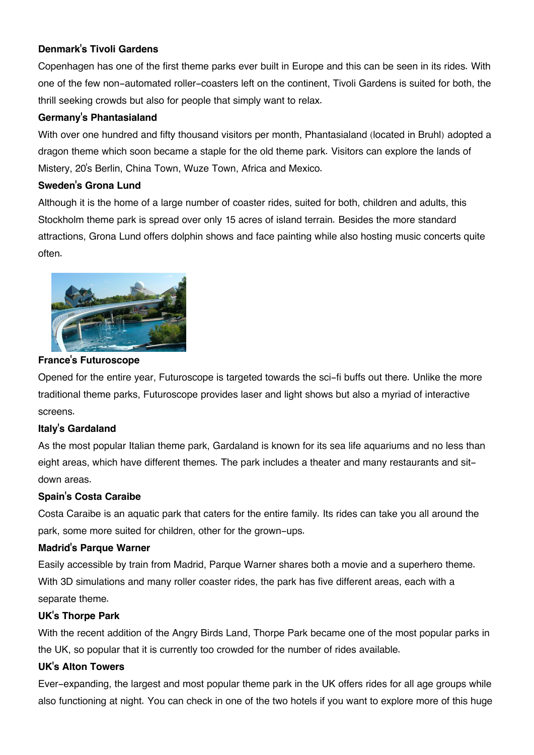## **Denmark's Tivoli Gardens**

Copenhagen has one of the first theme parks ever built in Europe and this can be seen in its rides. With one of the few non-automated roller-coasters left on the continent, Tivoli Gardens is suited for both, the thrill seeking crowds but also for people that simply want to relax.

## **Germany's Phantasialand**

With over one hundred and fifty thousand visitors per month, Phantasialand (located in Bruhl) adopted a dragon theme which soon became a staple for the old theme park. Visitors can explore the lands of Mistery, 20's Berlin, China Town, Wuze Town, Africa and Mexico.

### **Sweden's Grona Lund**

Although it is the home of a large number of coaster rides, suited for both, children and adults, this Stockholm theme park is spread over only 15 acres of island terrain. Besides the more standard attractions, Grona Lund offers dolphin shows and face painting while also hosting music concerts quite often.



#### **France's Futuroscope**

Opened for the entire year, Futuroscope is targeted towards the sci-fi buffs out there. Unlike the more traditional theme parks, Futuroscope provides laser and light shows but also a myriad of interactive screens.

#### **Italy's Gardaland**

As the most popular Italian theme park, Gardaland is known for its sea life aquariums and no less than eight areas, which have different themes. The park includes a theater and many restaurants and sitdown areas.

## **Spain's Costa Caraibe**

Costa Caraibe is an aquatic park that caters for the entire family. Its rides can take you all around the park, some more suited for children, other for the grown-ups.

#### **Madrid's Parque Warner**

Easily accessible by train from Madrid, Parque Warner shares both a movie and a superhero theme. With 3D simulations and many roller coaster rides, the park has five different areas, each with a separate theme.

#### **UK's Thorpe Park**

With the recent addition of the Angry Birds Land, Thorpe Park became one of the most popular parks in the UK, so popular that it is currently too crowded for the number of rides available.

## **UK's Alton Towers**

Ever-expanding, the largest and most popular theme park in the UK offers rides for all age groups while also functioning at night. You can check in one of the two hotels if you want to explore more of this huge